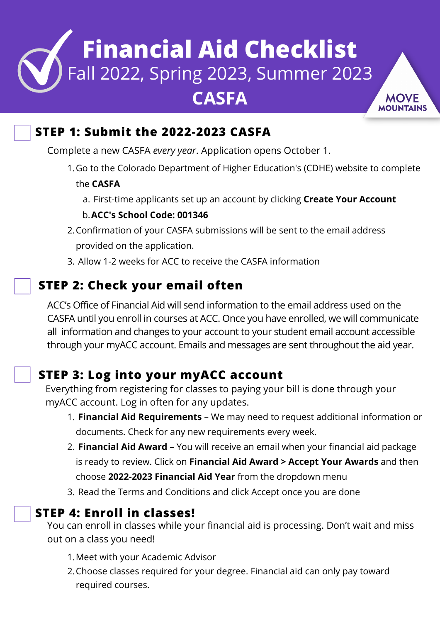# **Financial Aid Checklist** Fall 2022, Spring 2023, Summer 2023 **CASFA**

### **STEP 1: Submit the 2022-2023 CASFA**

Complete a new CASFA *every year*. Application opens October 1.

1.Go to the Colorado Department of Higher Education's (CDHE) website to complete

#### the **[CASFA](https://cdhesnapprod.regenteducation.net/)**

a. First-time applicants set up an account by clicking **Create Your Account** 

### **ACC's School Code: 001346** b.

- 2.Confirmation of your CASFA submissions will be sent to the email address provided on the application.
- 3. Allow 1-2 weeks for ACC to receive the CASFA information

### **STEP 2: Check your email often**

ACC's Office of Financial Aid will send information to the email address used on the CASFA until you enroll in courses at ACC. Once you have enrolled, we will communicate all information and changes to your account to your student email account accessible through your myACC account. Emails and messages are sent throughout the aid year.

### **STEP 3: Log into your myACC account**

Everything from registering for classes to paying your bill is done through your [myACC](https://bannercas.cccs.edu/authenticationendpoint/login.do?Name=PreLoginRequestProcessor&commonAuthCallerPath=%252Fcas%252Flogin&forceAuth=true&passiveAuth=false&service=https%3A%2F%2Fmyportal.cccs.edu%2Fhtml%2Fjsp%2FCCCS%2FvpdiChange.jsp%3Fvpdi%3DACC&tenantDomain=carbon.super&sessionDataKey=394e35f1-d0fd-4ca0-a7d1-484bda3e97d8&relyingParty=LUMINIS_PORTAL&type=cas&sp=LUMINIS_PORTAL&isSaaSApp=false&authenticators=BasicAuthenticator:LOCAL) account. Log in often for any updates.

- 1. **Financial Aid Requirements** We may need to request additional information or documents. Check for any new requirements every week.
- 2. **Financial Aid Award** You will receive an email when your financial aid package is ready to review. Click on **Financial Aid Award > Accept Your Awards** and then choose **2022-2023 Financial Aid Year** from the dropdown menu
- 3. Read the Terms and Conditions and click Accept once you are done

### **STEP 4: Enroll in classes!**

You can enroll in classes while your financial aid is processing. Don't wait and miss out on a class you need!

- 1.Meet with your Academic Advisor
- 2.Choose classes required for your degree. Financial aid can only pay toward required courses.